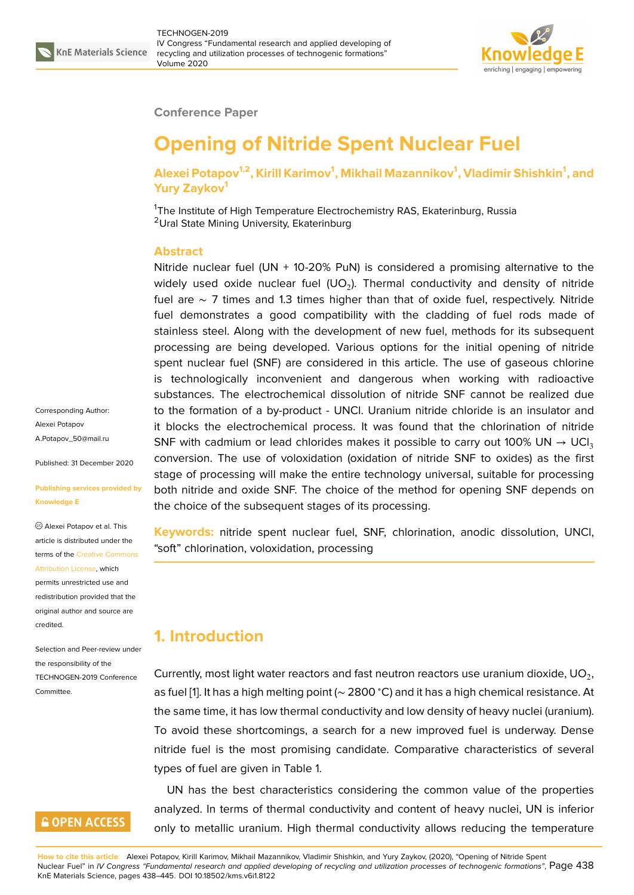

#### **Conference Paper**

# **Opening of Nitride Spent Nuclear Fuel**

#### **Alexei Potapov1,2, Kirill Karimov<sup>1</sup> , Mikhail Mazannikov<sup>1</sup> , Vladimir Shishkin<sup>1</sup> , and Yury Zaykov<sup>1</sup>**

<sup>1</sup>The Institute of High Temperature Electrochemistry RAS, Ekaterinburg, Russia <sup>2</sup>Ural State Mining University, Ekaterinburg

#### **Abstract**

Nitride nuclear fuel (UN + 10-20% PuN) is considered a promising alternative to the widely used oxide nuclear fuel (UO<sub>2</sub>). Thermal conductivity and density of nitride fuel are ∼ 7 times and 1.3 times higher than that of oxide fuel, respectively. Nitride fuel demonstrates a good compatibility with the cladding of fuel rods made of stainless steel. Along with the development of new fuel, methods for its subsequent processing are being developed. Various options for the initial opening of nitride spent nuclear fuel (SNF) are considered in this article. The use of gaseous chlorine is technologically inconvenient and dangerous when working with radioactive substances. The electrochemical dissolution of nitride SNF cannot be realized due to the formation of a by-product - UNCl. Uranium nitride chloride is an insulator and it blocks the electrochemical process. It was found that the chlorination of nitride SNF with cadmium or lead chlorides makes it possible to carry out 100% UN  $\rightarrow$  UCl<sub>3</sub> conversion. The use of voloxidation (oxidation of nitride SNF to oxides) as the first stage of processing will make the entire technology universal, suitable for processing both nitride and oxide SNF. The choice of the method for opening SNF depends on the choice of the subsequent stages of its processing.

**Keywords:** nitride spent nuclear fuel, SNF, chlorination, anodic dissolution, UNCl, "soft" chlorination, voloxidation, processing

# **1. Introduction**

Currently, most light water reactors and fast neutron reactors use uranium dioxide, UO $_{\rm 2}$ , as fuel [1]. It has a high melting point (∼ 2800 <sup>∘</sup>C) and it has a high chemical resistance. At the same time, it has low thermal conductivity and low density of heavy nuclei (uranium). To avoid these shortcomings, a search for a new improved fuel is underway. Dense nitride [fu](#page-6-0)el is the most promising candidate. Comparative characteristics of several types of fuel are given in Table 1.

UN has the best characteristics considering the common value of the properties analyzed. In terms of thermal conductivity and content of heavy nuclei, UN is inferior only to metallic uranium. High thermal conductivity allows reducing the temperature

**How to cite this article**: Alexei Potapov, Kirill Karimov, Mikhail Mazannikov, Vladimir Shishkin, and Yury Zaykov, (2020), "Opening of Nitride Spent Nuclear Fuel" in *IV Congress "Fundamental research and applied developing of recycling and utilization processes of technogenic formations"*, Page 438 KnE Materials Science, pages 438–445. DOI 10.18502/kms.v6i1.8122

Corresponding Author: Alexei Potapov A.Potapov\_50@mail.ru

Published: 31 December 2020

#### **[Publishing services pro](mailto:A.Potapov_50@mail.ru)vided by Knowledge E**

Alexei Potapov et al. This article is distributed under the terms of the Creative Commons Attribution License, which

permits unrestricted use and redistribution provided that the original auth[or and source are](https://creativecommons.org/licenses/by/4.0/) [credited.](https://creativecommons.org/licenses/by/4.0/)

Selection and Peer-review under the responsibility of the TECHNOGEN-2019 Conference Committee.

# **GOPEN ACCESS**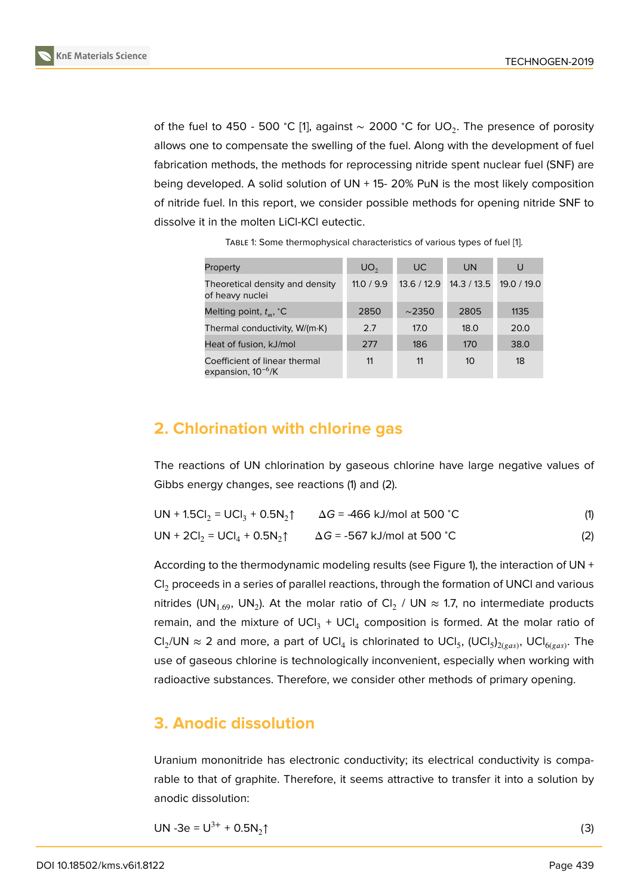of the fuel to 450 - 500 °C [1], against  $\sim$  2000 °C for UO<sub>2</sub>. The presence of porosity allows one to compensate the swelling of the fuel. Along with the development of fuel fabrication methods, the methods for reprocessing nitride spent nuclear fuel (SNF) are being developed. A solid sol[u](#page-6-0)tion of UN + 15- 20% PuN is the most likely composition of nitride fuel. In this report, we consider possible methods for opening nitride SNF to dissolve it in the molten LiCl-KCl eutectic.

| Property                                                 | UO <sub>2</sub> | UC.         | <b>UN</b>   | U           |
|----------------------------------------------------------|-----------------|-------------|-------------|-------------|
| Theoretical density and density<br>of heavy nuclei       | 11.0 / 9.9      | 13.6/12.9   | 14.3 / 13.5 | 19.0 / 19.0 |
| Melting point, $t_m$ , $\mathcal{C}$                     | 2850            | $\sim$ 2350 | 2805        | 1135        |
| Thermal conductivity, W/(m·K)                            | 2.7             | 17.0        | 18.0        | 20.0        |
| Heat of fusion, kJ/mol                                   | 277             | 186         | 170         | 38.0        |
| Coefficient of linear thermal<br>expansion, $10^{-6}$ /K | 11              | 11          | 10          | 18          |

TABLE 1: Some thermophysical characteristics of various types of fuel [1].

### **2. Chlorination with chlorine gas**

The reactions of UN chlorination by gaseous chlorine have large negative values of Gibbs energy changes, see reactions (1) and (2).

| UN + 1.5Cl <sub>2</sub> = UCl <sub>3</sub> + 0.5N <sub>2</sub> $\uparrow$ $\Delta G$ = -466 kJ/mol at 500 °C |                                    | (1) |
|--------------------------------------------------------------------------------------------------------------|------------------------------------|-----|
| $UN + 2Cl_2 = UCl_4 + 0.5N_2$                                                                                | $\Delta G$ = -567 kJ/mol at 500 °C | (2) |

According to the thermodynamic modeling results (see Figure 1), the interaction of UN  $+$  $Cl<sub>2</sub>$  proceeds in a series of parallel reactions, through the formation of UNCI and various nitrides (UN<sub>1.69</sub>, UN<sub>2</sub>). At the molar ratio of Cl<sub>2</sub> / UN  $\approx$  1.7, no intermediate products r[e](#page-2-0)main, and the mixture of UCI<sub>3</sub> + UCI<sub>4</sub> composition is formed. At the molar ratio of Cl<sub>2</sub>/UN  $\approx$  2 and more, a part of UCl<sub>4</sub> is chlorinated to UCl<sub>5</sub>, (UCl<sub>5</sub>)<sub>2(gas)</sub>, UCl<sub>6(gas)</sub>. The use of gaseous chlorine is technologically inconvenient, especially when working with radioactive substances. Therefore, we consider other methods of primary opening.

#### **3. Anodic dissolution**

Uranium mononitride has electronic conductivity; its electrical conductivity is comparable to that of graphite. Therefore, it seems attractive to transfer it into a solution by anodic dissolution:

$$
UN - 3e = U^{3+} + 0.5N_2 \uparrow
$$
 (3)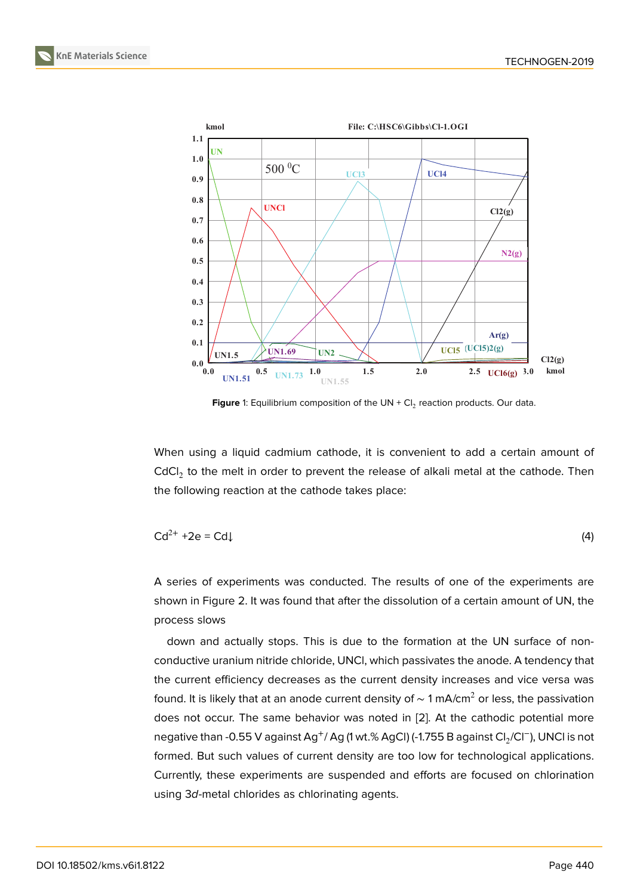

<span id="page-2-0"></span>**Figure** 1: Equilibrium composition of the UN + Cl<sub>2</sub> reaction products. Our data.

When using a liquid cadmium cathode, it is convenient to add a certain amount of CdCl<sub>2</sub> to the melt in order to prevent the release of alkali metal at the cathode. Then the following reaction at the cathode takes place:

$$
Cd^{2+} + 2e = Cd \downarrow
$$
 (4)

A series of experiments was conducted. The results of one of the experiments are shown in Figure 2. It was found that after the dissolution of a certain amount of UN, the process slows

down and actually stops. This is due to the formation at the UN surface of nonconductive urani[um](#page-3-0) nitride chloride, UNCl, which passivates the anode. A tendency that the current efficiency decreases as the current density increases and vice versa was found. It is likely that at an anode current density of  $\sim$  1 mA/cm<sup>2</sup> or less, the passivation does not occur. The same behavior was noted in [2]. At the cathodic potential more negative than -0.55 V against Ag<sup>+</sup>/ Ag (1 wt.% AgCl) (-1.755 B against Cl<sub>2</sub>/Cl<sup>−</sup>), UNCl is not formed. But such values of current density are too low for technological applications. Currently, these experiments are suspended and [eff](#page-6-1)orts are focused on chlorination using 3*d*-metal chlorides as chlorinating agents.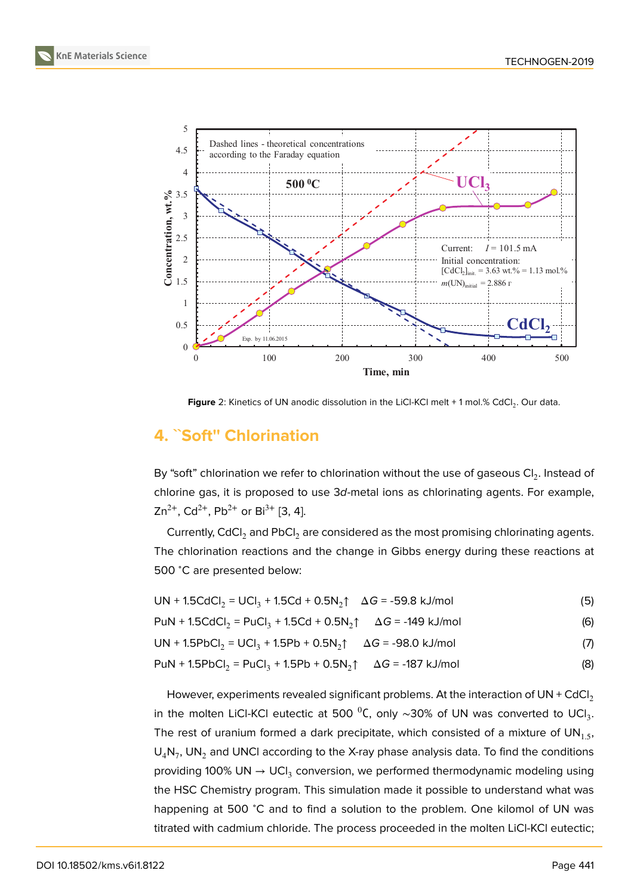

<span id="page-3-0"></span>**Figure** 2: Kinetics of UN anodic dissolution in the LiCl-KCI melt + 1 mol.% CdCl<sub>2</sub>. Our data.

# **4. ˋˋSoft'' Chlorination**

By "soft" chlorination we refer to chlorination without the use of gaseous Cl<sub>2</sub>. Instead of chlorine gas, it is proposed to use 3*d*-metal ions as chlorinating agents. For example,  $Zn^{2+}$ , Cd<sup>2+</sup>, Pb<sup>2+</sup> or Bi<sup>3+</sup> [3, 4].

Currently, CdCl<sub>2</sub> and PbCl<sub>2</sub> are considered as the most promising chlorinating agents. The chlorination reactions and the change in Gibbs energy during these reactions at 500 <sup>∘</sup>C are presented be[lo](#page-6-2)[w:](#page-7-0)

| UN + 1.5CdCl <sub>2</sub> = UCl <sub>3</sub> + 1.5Cd + 0.5N <sub>2</sub> $\uparrow$ $\Delta G$ = -59.8 kJ/mol |  | (5) |
|---------------------------------------------------------------------------------------------------------------|--|-----|
|---------------------------------------------------------------------------------------------------------------|--|-----|

 $PuN + 1.5CdCl_2 = PuCl_3 + 1.5Cd + 0.5N_2$ ĵ  $\Delta G = -149$  kJ/mol (6)

 $UN + 1.5PbCl<sub>2</sub> = UCl<sub>3</sub> + 1.5Pb + 0.5N<sub>2</sub>↑$  Δ*G* = -98.0 kJ/mol (7)

$$
PuN + 1.5PbCl_2 = PuCl_3 + 1.5Pb + 0.5N_2 \uparrow \quad \Delta G = -187 \text{ kJ/mol}
$$
 (8)

However, experiments revealed significant problems. At the interaction of UN + CdCl<sub>2</sub> in the molten LiCl-KCl eutectic at 500  $^0$ C, only  $\sim$ 30% of UN was converted to UCl $_3.$ The rest of uranium formed a dark precipitate, which consisted of a mixture of  $UN_{1.5}$ ,  $\mathsf{U}_4\mathsf{N}_7$ , UN $_2$  and UNCI according to the X-ray phase analysis data. To find the conditions providing 100% UN  $\rightarrow$  UCI $_3$  conversion, we performed thermodynamic modeling using the HSC Chemistry program. This simulation made it possible to understand what was happening at 500 ℃ and to find a solution to the problem. One kilomol of UN was titrated with cadmium chloride. The process proceeded in the molten LiCl-KCl eutectic;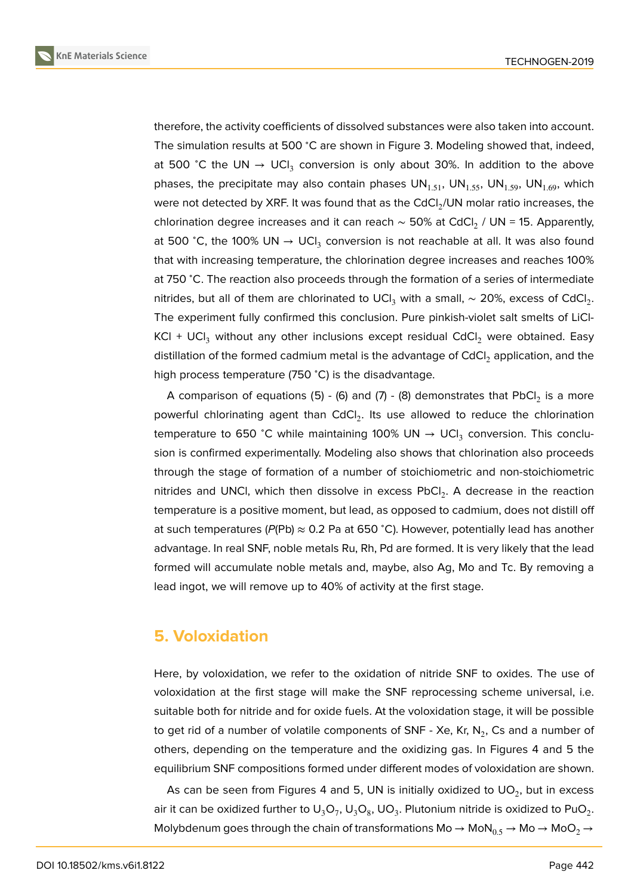therefore, the activity coefficients of dissolved substances were also taken into account. The simulation results at 500 °C are shown in Figure 3. Modeling showed that, indeed, at 500 °C the UN → UCI<sub>3</sub> conversion is only about 30%. In addition to the above phases, the precipitate may also contain phases  $UN_{1.51}$ , UN $_{1.55}$ , UN $_{1.59}$ , UN $_{1.69}$ , which were not detected by XRF. It was found that as the C[dC](#page-5-0)l $_2$ /UN molar ratio increases, the chlorination degree increases and it can reach  $\sim$  50% at CdCl $_2$  / UN = 15. Apparently, at 500 °C, the 100% UN  $\rightarrow$  UCI $_3$  conversion is not reachable at all. It was also found that with increasing temperature, the chlorination degree increases and reaches 100% at 750 <sup>∘</sup>C. The reaction also proceeds through the formation of a series of intermediate nitrides, but all of them are chlorinated to UCl $_3$  with a small,  $\sim$  20%, excess of CdCl $_2.$ The experiment fully confirmed this conclusion. Pure pinkish-violet salt smelts of LiCl-KCl + UCl<sub>3</sub> without any other inclusions except residual CdCl<sub>2</sub> were obtained. Easy distillation of the formed cadmium metal is the advantage of  $CdCl<sub>2</sub>$  application, and the high process temperature (750 <sup>∘</sup>C) is the disadvantage.

**A** comparison of equations (5) - (6) and (7) - (8) demonstrates that  $\mathsf{PbCl}_2$  is a more powerful chlorinating agent than  $\mathsf{CdCl}_2$ . Its use allowed to reduce the chlorination temperature to 650 °C while maintaining 100% UN  $\rightarrow$  UCI<sub>3</sub> conversion. This conclusion is confirmed experimentally. Modeling also shows that chlorination also proceeds through the stage of formation of a number of stoichiometric and non-stoichiometric nitrides and UNCI, which then dissolve in excess  $\mathsf{PbCl}_2$ . A decrease in the reaction temperature is a positive moment, but lead, as opposed to cadmium, does not distill off at such temperatures ( $P(Pb)$   $\approx$  0.2 Pa at 650 °C). However, potentially lead has another advantage. In real SNF, noble metals Ru, Rh, Pd are formed. It is very likely that the lead formed will accumulate noble metals and, maybe, also Ag, Mo and Tc. By removing a lead ingot, we will remove up to 40% of activity at the first stage.

#### **5. Voloxidation**

Here, by voloxidation, we refer to the oxidation of nitride SNF to oxides. The use of voloxidation at the first stage will make the SNF reprocessing scheme universal, i.e. suitable both for nitride and for oxide fuels. At the voloxidation stage, it will be possible to get rid of a number of volatile components of SNF - Xe, Kr, N $_{2}$ , Cs and a number of others, depending on the temperature and the oxidizing gas. In Figures 4 and 5 the equilibrium SNF compositions formed under different modes of voloxidation are shown.

As can be seen from Figures 4 and 5, UN is initially oxidized to UO $_2$ , but in excess air it can be oxidized further to  $\sf{U_3O_7}$ ,  $\sf{U_3O_8}$ ,  $\sf{UO_3}$ . Plutonium nitride is oxidized to PuO $_2$ . Molybdenum goes through the chain of transformations Mo  $\rightarrow$  MoN $_{0.5}$   $\rightarrow$  Mo  $\rightarrow$  MoO<sub>2</sub>  $\rightarrow$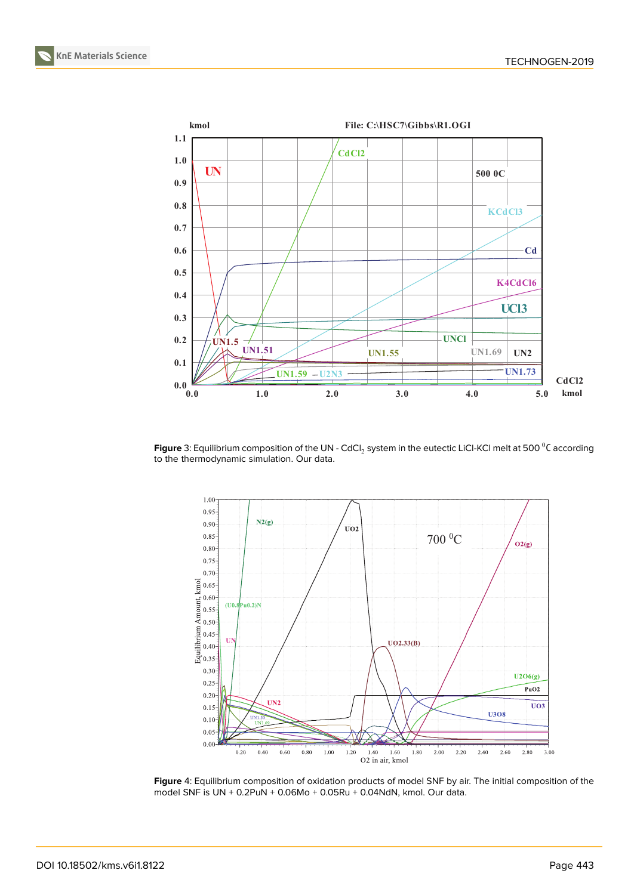



<span id="page-5-0"></span>**Figure** 3: Equilibrium composition of the UN - CdCl $_2$  system in the eutectic LiCl-KCl melt at 500  $^0$ C according to the thermodynamic simulation. Our data.



**Figure** 4: Equilibrium composition of oxidation products of model SNF by air. The initial composition of the model SNF is UN + 0.2PuN + 0.06Mo + 0.05Ru + 0.04NdN, kmol. Our data.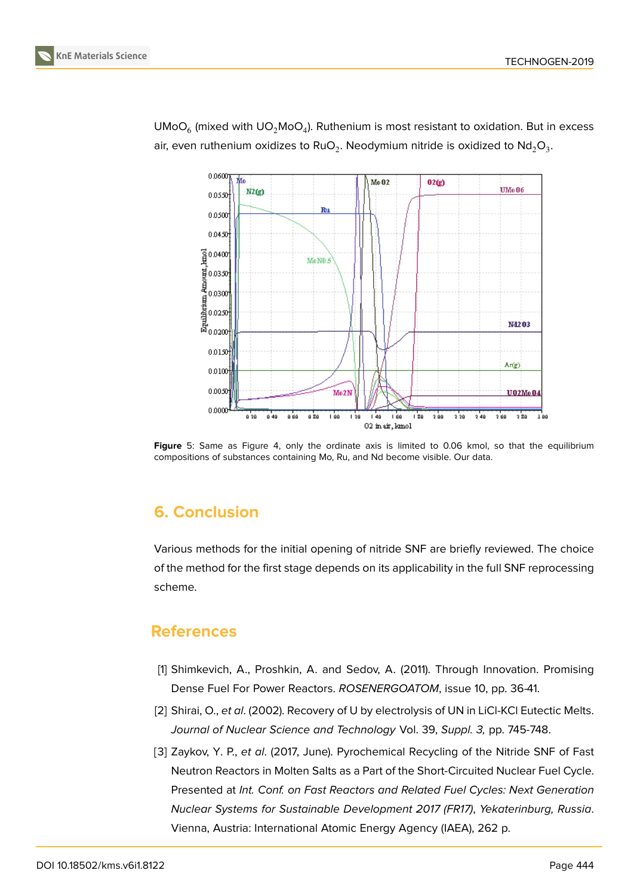

UMoO $_6$  (mixed with UO $_2$ MoO $_4$ ). Ruthenium is most resistant to oxidation. But in excess air, even ruthenium oxidizes to RuO $_2$ . Neodymium nitride is oxidized to Nd $_2$ O $_3$ .

**Figure** 5: Same as Figure 4, only the ordinate axis is limited to 0.06 kmol, so that the equilibrium compositions of substances containing Mo, Ru, and Nd become visible. Our data.

# **6. Conclusion**

Various methods for the initial opening of nitride SNF are briefly reviewed. The choice of the method for the first stage depends on its applicability in the full SNF reprocessing scheme.

#### **References**

- [1] Shimkevich, A., Proshkin, A. and Sedov, A. (2011). Through Innovation. Promising Dense Fuel For Power Reactors. *ROSENERGOATOM*, issue 10, pp. 36-41.
- <span id="page-6-0"></span>[2] Shirai, O., *et al*. (2002). Recovery of U by electrolysis of UN in LiCl-KCl Eutectic Melts. *Journal of Nuclear Science and Technology* Vol. 39, *Suppl. 3,* pp. 745-748.
- <span id="page-6-2"></span><span id="page-6-1"></span>[3] Zaykov, Y. P., *et al*. (2017, June). Pyrochemical Recycling of the Nitride SNF of Fast Neutron Reactors in Molten Salts as a Part of the Short-Circuited Nuclear Fuel Cycle. Presented at *Int. Conf. on Fast Reactors and Related Fuel Cycles: Next Generation Nuclear Systems for Sustainable Development 2017 (FR17)*, *Yekaterinburg, Russia*. Vienna, Austria: International Atomic Energy Agency (IAEA), 262 p.